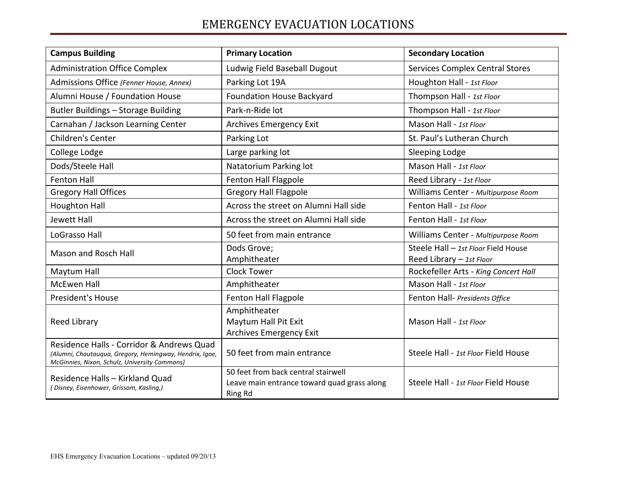## EMERGENCY EVACUATION LOCATIONS

| <b>Campus Building</b>                                                                                                                                | <b>Primary Location</b>                                                                              | <b>Secondary Location</b>                                       |
|-------------------------------------------------------------------------------------------------------------------------------------------------------|------------------------------------------------------------------------------------------------------|-----------------------------------------------------------------|
| <b>Administration Office Complex</b>                                                                                                                  | Ludwig Field Baseball Dugout                                                                         | <b>Services Complex Central Stores</b>                          |
| Admissions Office (Fenner House, Annex)                                                                                                               | Parking Lot 19A                                                                                      | Houghton Hall - 1st Floor                                       |
| Alumni House / Foundation House                                                                                                                       | <b>Foundation House Backyard</b>                                                                     | Thompson Hall - 1st Floor                                       |
| Butler Buildings - Storage Building                                                                                                                   | Park-n-Ride lot                                                                                      | Thompson Hall - 1st Floor                                       |
| Carnahan / Jackson Learning Center                                                                                                                    | Archives Emergency Exit                                                                              | Mason Hall - 1st Floor                                          |
| Children's Center                                                                                                                                     | Parking Lot                                                                                          | St. Paul's Lutheran Church                                      |
| College Lodge                                                                                                                                         | Large parking lot                                                                                    | Sleeping Lodge                                                  |
| Dods/Steele Hall                                                                                                                                      | Natatorium Parking lot                                                                               | Mason Hall - 1st Floor                                          |
| <b>Fenton Hall</b>                                                                                                                                    | <b>Fenton Hall Flagpole</b>                                                                          | Reed Library - 1st Floor                                        |
| <b>Gregory Hall Offices</b>                                                                                                                           | <b>Gregory Hall Flagpole</b>                                                                         | Williams Center - Multipurpose Room                             |
| <b>Houghton Hall</b>                                                                                                                                  | Across the street on Alumni Hall side                                                                | Fenton Hall - 1st Floor                                         |
| Jewett Hall                                                                                                                                           | Across the street on Alumni Hall side                                                                | Fenton Hall - 1st Floor                                         |
| LoGrasso Hall                                                                                                                                         | 50 feet from main entrance                                                                           | Williams Center - Multipurpose Room                             |
| <b>Mason and Rosch Hall</b>                                                                                                                           | Dods Grove;<br>Amphitheater                                                                          | Steele Hall - 1st Floor Field House<br>Reed Library - 1st Floor |
| Maytum Hall                                                                                                                                           | <b>Clock Tower</b>                                                                                   | Rockefeller Arts - King Concert Hall                            |
| <b>McEwen Hall</b>                                                                                                                                    | Amphitheater                                                                                         | Mason Hall - 1st Floor                                          |
| President's House                                                                                                                                     | Fenton Hall Flagpole                                                                                 | Fenton Hall- Presidents Office                                  |
| Reed Library                                                                                                                                          | Amphitheater<br>Maytum Hall Pit Exit<br><b>Archives Emergency Exit</b>                               | Mason Hall - 1st Floor                                          |
| Residence Halls - Corridor & Andrews Quad<br>(Alumni, Chautauqua, Gregory, Hemingway, Hendrix, Igoe,<br>McGinnies, Nixon, Schulz, University Commons) | 50 feet from main entrance                                                                           | Steele Hall - 1st Floor Field House                             |
| Residence Halls - Kirkland Quad<br>(Disney, Eisenhower, Grissom, Kasling,)                                                                            | 50 feet from back central stairwell<br>Leave main entrance toward quad grass along<br><b>Ring Rd</b> | Steele Hall - 1st Floor Field House                             |